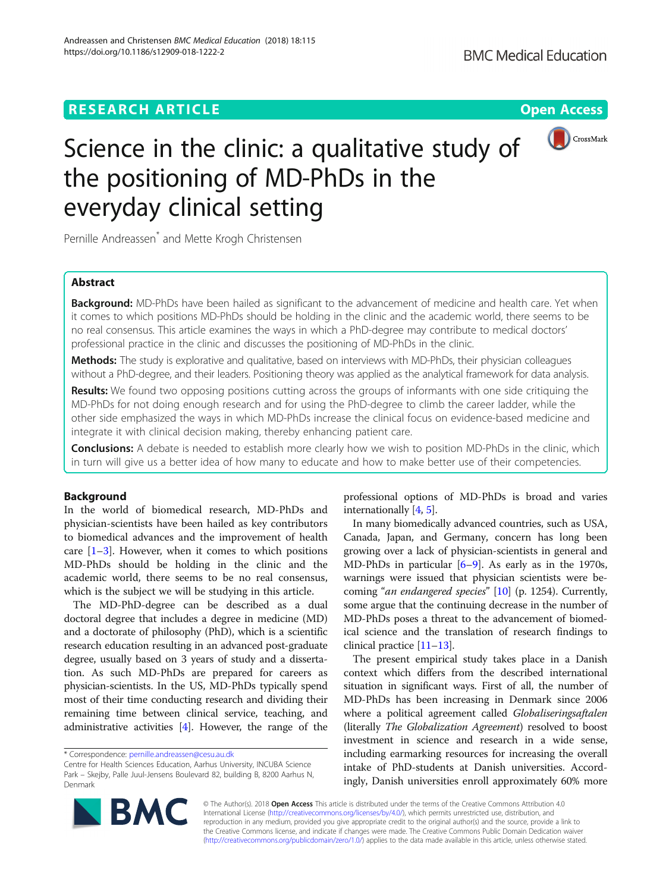# **RESEARCH ARTICLE Example 2018 12:30 The CONSTRUCTION CONSTRUCTION CONSTRUCTS**



# Science in the clinic: a qualitative study of the positioning of MD-PhDs in the everyday clinical setting

Pernille Andreassen<sup>\*</sup> and Mette Krogh Christensen

## Abstract

Background: MD-PhDs have been hailed as significant to the advancement of medicine and health care. Yet when it comes to which positions MD-PhDs should be holding in the clinic and the academic world, there seems to be no real consensus. This article examines the ways in which a PhD-degree may contribute to medical doctors' professional practice in the clinic and discusses the positioning of MD-PhDs in the clinic.

Methods: The study is explorative and qualitative, based on interviews with MD-PhDs, their physician colleagues without a PhD-degree, and their leaders. Positioning theory was applied as the analytical framework for data analysis.

Results: We found two opposing positions cutting across the groups of informants with one side critiquing the MD-PhDs for not doing enough research and for using the PhD-degree to climb the career ladder, while the other side emphasized the ways in which MD-PhDs increase the clinical focus on evidence-based medicine and integrate it with clinical decision making, thereby enhancing patient care.

Conclusions: A debate is needed to establish more clearly how we wish to position MD-PhDs in the clinic, which in turn will give us a better idea of how many to educate and how to make better use of their competencies.

## Background

In the world of biomedical research, MD-PhDs and physician-scientists have been hailed as key contributors to biomedical advances and the improvement of health care  $[1-3]$  $[1-3]$  $[1-3]$  $[1-3]$  $[1-3]$ . However, when it comes to which positions MD-PhDs should be holding in the clinic and the academic world, there seems to be no real consensus, which is the subject we will be studying in this article.

The MD-PhD-degree can be described as a dual doctoral degree that includes a degree in medicine (MD) and a doctorate of philosophy (PhD), which is a scientific research education resulting in an advanced post-graduate degree, usually based on 3 years of study and a dissertation. As such MD-PhDs are prepared for careers as physician-scientists. In the US, MD-PhDs typically spend most of their time conducting research and dividing their remaining time between clinical service, teaching, and administrative activities [[4](#page-11-0)]. However, the range of the



In many biomedically advanced countries, such as USA, Canada, Japan, and Germany, concern has long been growing over a lack of physician-scientists in general and MD-PhDs in particular [\[6](#page-11-0)–[9\]](#page-11-0). As early as in the 1970s, warnings were issued that physician scientists were be-coming "an endangered species" [[10](#page-11-0)] (p. 1254). Currently, some argue that the continuing decrease in the number of MD-PhDs poses a threat to the advancement of biomedical science and the translation of research findings to clinical practice [[11](#page-11-0)–[13\]](#page-11-0).

The present empirical study takes place in a Danish context which differs from the described international situation in significant ways. First of all, the number of MD-PhDs has been increasing in Denmark since 2006 where a political agreement called Globaliseringsaftalen (literally The Globalization Agreement) resolved to boost investment in science and research in a wide sense, including earmarking resources for increasing the overall intake of PhD-students at Danish universities. Accordingly, Danish universities enroll approximately 60% more

© The Author(s). 2018 Open Access This article is distributed under the terms of the Creative Commons Attribution 4.0 International License [\(http://creativecommons.org/licenses/by/4.0/](http://creativecommons.org/licenses/by/4.0/)), which permits unrestricted use, distribution, and reproduction in any medium, provided you give appropriate credit to the original author(s) and the source, provide a link to the Creative Commons license, and indicate if changes were made. The Creative Commons Public Domain Dedication waiver [\(http://creativecommons.org/publicdomain/zero/1.0/](http://creativecommons.org/publicdomain/zero/1.0/)) applies to the data made available in this article, unless otherwise stated.



<sup>\*</sup> Correspondence: [pernille.andreassen@cesu.au.dk](mailto:pernille.andreassen@cesu.au.dk)

Centre for Health Sciences Education, Aarhus University, INCUBA Science Park – Skejby, Palle Juul-Jensens Boulevard 82, building B, 8200 Aarhus N, Denmark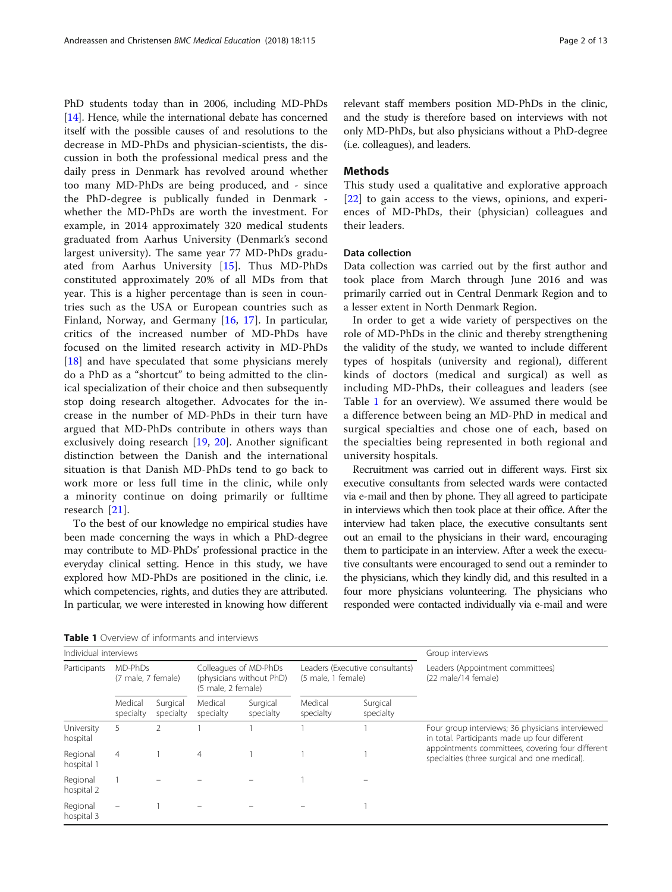PhD students today than in 2006, including MD-PhDs [[14](#page-11-0)]. Hence, while the international debate has concerned itself with the possible causes of and resolutions to the decrease in MD-PhDs and physician-scientists, the discussion in both the professional medical press and the daily press in Denmark has revolved around whether too many MD-PhDs are being produced, and - since the PhD-degree is publically funded in Denmark whether the MD-PhDs are worth the investment. For example, in 2014 approximately 320 medical students graduated from Aarhus University (Denmark's second largest university). The same year 77 MD-PhDs graduated from Aarhus University [[15\]](#page-11-0). Thus MD-PhDs constituted approximately 20% of all MDs from that year. This is a higher percentage than is seen in countries such as the USA or European countries such as Finland, Norway, and Germany [\[16](#page-11-0), [17\]](#page-11-0). In particular, critics of the increased number of MD-PhDs have focused on the limited research activity in MD-PhDs [[18\]](#page-11-0) and have speculated that some physicians merely do a PhD as a "shortcut" to being admitted to the clinical specialization of their choice and then subsequently stop doing research altogether. Advocates for the increase in the number of MD-PhDs in their turn have argued that MD-PhDs contribute in others ways than exclusively doing research [[19](#page-11-0), [20](#page-11-0)]. Another significant distinction between the Danish and the international situation is that Danish MD-PhDs tend to go back to work more or less full time in the clinic, while only a minority continue on doing primarily or fulltime research [\[21](#page-11-0)].

To the best of our knowledge no empirical studies have been made concerning the ways in which a PhD-degree may contribute to MD-PhDs' professional practice in the everyday clinical setting. Hence in this study, we have explored how MD-PhDs are positioned in the clinic, i.e. which competencies, rights, and duties they are attributed. In particular, we were interested in knowing how different

relevant staff members position MD-PhDs in the clinic, and the study is therefore based on interviews with not only MD-PhDs, but also physicians without a PhD-degree (i.e. colleagues), and leaders.

## **Methods**

This study used a qualitative and explorative approach [[22\]](#page-11-0) to gain access to the views, opinions, and experiences of MD-PhDs, their (physician) colleagues and their leaders.

## Data collection

Data collection was carried out by the first author and took place from March through June 2016 and was primarily carried out in Central Denmark Region and to a lesser extent in North Denmark Region.

In order to get a wide variety of perspectives on the role of MD-PhDs in the clinic and thereby strengthening the validity of the study, we wanted to include different types of hospitals (university and regional), different kinds of doctors (medical and surgical) as well as including MD-PhDs, their colleagues and leaders (see Table 1 for an overview). We assumed there would be a difference between being an MD-PhD in medical and surgical specialties and chose one of each, based on the specialties being represented in both regional and university hospitals.

Recruitment was carried out in different ways. First six executive consultants from selected wards were contacted via e-mail and then by phone. They all agreed to participate in interviews which then took place at their office. After the interview had taken place, the executive consultants sent out an email to the physicians in their ward, encouraging them to participate in an interview. After a week the executive consultants were encouraged to send out a reminder to the physicians, which they kindly did, and this resulted in a four more physicians volunteering. The physicians who responded were contacted individually via e-mail and were

Table 1 Overview of informants and interviews

| Individual interviews  |                               |                       |                                                                         |                       |                                                       |                       | Group interviews                                                                                                                                                                                       |
|------------------------|-------------------------------|-----------------------|-------------------------------------------------------------------------|-----------------------|-------------------------------------------------------|-----------------------|--------------------------------------------------------------------------------------------------------------------------------------------------------------------------------------------------------|
| Participants           | MD-PhDs<br>(7 male, 7 female) |                       | Colleagues of MD-PhDs<br>(physicians without PhD)<br>(5 male, 2 female) |                       | Leaders (Executive consultants)<br>(5 male, 1 female) |                       | Leaders (Appointment committees)<br>(22 male/14 female)                                                                                                                                                |
|                        | Medical<br>specialty          | Surgical<br>specialty | Medical<br>specialty                                                    | Surgical<br>specialty | Medical<br>specialty                                  | Surgical<br>specialty |                                                                                                                                                                                                        |
| University<br>hospital | 5                             |                       |                                                                         |                       |                                                       |                       | Four group interviews; 36 physicians interviewed<br>in total. Participants made up four different<br>appointments committees, covering four different<br>specialties (three surgical and one medical). |
| Regional<br>hospital 1 | $\overline{4}$                |                       | 4                                                                       |                       |                                                       |                       |                                                                                                                                                                                                        |
| Regional<br>hospital 2 |                               |                       |                                                                         |                       |                                                       |                       |                                                                                                                                                                                                        |
| Regional<br>hospital 3 |                               |                       |                                                                         |                       |                                                       |                       |                                                                                                                                                                                                        |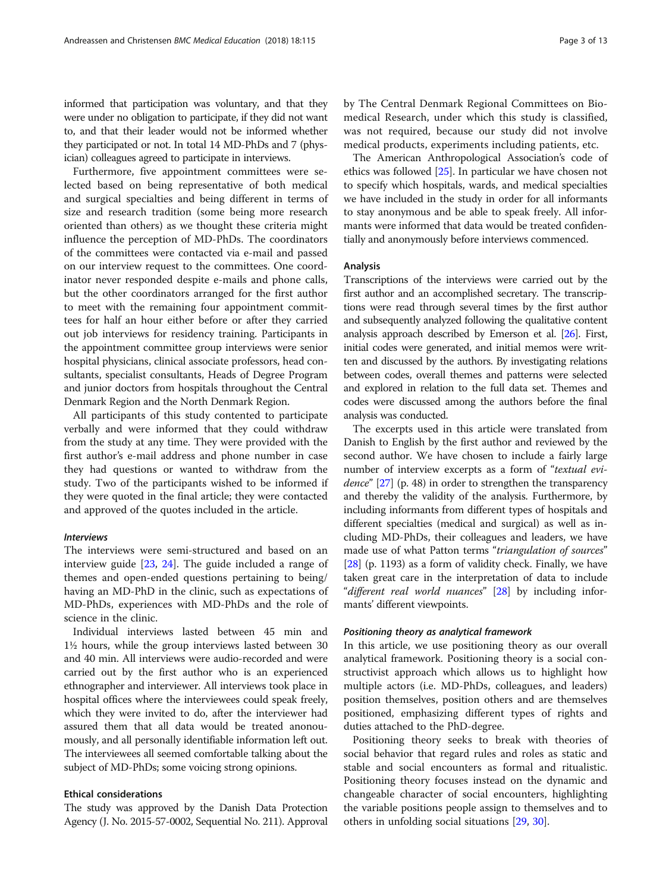informed that participation was voluntary, and that they were under no obligation to participate, if they did not want to, and that their leader would not be informed whether they participated or not. In total 14 MD-PhDs and 7 (physician) colleagues agreed to participate in interviews.

Furthermore, five appointment committees were selected based on being representative of both medical and surgical specialties and being different in terms of size and research tradition (some being more research oriented than others) as we thought these criteria might influence the perception of MD-PhDs. The coordinators of the committees were contacted via e-mail and passed on our interview request to the committees. One coordinator never responded despite e-mails and phone calls, but the other coordinators arranged for the first author to meet with the remaining four appointment committees for half an hour either before or after they carried out job interviews for residency training. Participants in the appointment committee group interviews were senior hospital physicians, clinical associate professors, head consultants, specialist consultants, Heads of Degree Program and junior doctors from hospitals throughout the Central Denmark Region and the North Denmark Region.

All participants of this study contented to participate verbally and were informed that they could withdraw from the study at any time. They were provided with the first author's e-mail address and phone number in case they had questions or wanted to withdraw from the study. Two of the participants wished to be informed if they were quoted in the final article; they were contacted and approved of the quotes included in the article.

## Interviews

The interviews were semi-structured and based on an interview guide [[23,](#page-11-0) [24](#page-11-0)]. The guide included a range of themes and open-ended questions pertaining to being/ having an MD-PhD in the clinic, such as expectations of MD-PhDs, experiences with MD-PhDs and the role of science in the clinic.

Individual interviews lasted between 45 min and 1½ hours, while the group interviews lasted between 30 and 40 min. All interviews were audio-recorded and were carried out by the first author who is an experienced ethnographer and interviewer. All interviews took place in hospital offices where the interviewees could speak freely, which they were invited to do, after the interviewer had assured them that all data would be treated anonoumously, and all personally identifiable information left out. The interviewees all seemed comfortable talking about the subject of MD-PhDs; some voicing strong opinions.

## Ethical considerations

The study was approved by the Danish Data Protection Agency (J. No. 2015-57-0002, Sequential No. 211). Approval by The Central Denmark Regional Committees on Biomedical Research, under which this study is classified, was not required, because our study did not involve medical products, experiments including patients, etc.

The American Anthropological Association's code of ethics was followed [[25](#page-11-0)]. In particular we have chosen not to specify which hospitals, wards, and medical specialties we have included in the study in order for all informants to stay anonymous and be able to speak freely. All informants were informed that data would be treated confidentially and anonymously before interviews commenced.

#### Analysis

Transcriptions of the interviews were carried out by the first author and an accomplished secretary. The transcriptions were read through several times by the first author and subsequently analyzed following the qualitative content analysis approach described by Emerson et al. [\[26\]](#page-11-0). First, initial codes were generated, and initial memos were written and discussed by the authors. By investigating relations between codes, overall themes and patterns were selected and explored in relation to the full data set. Themes and codes were discussed among the authors before the final analysis was conducted.

The excerpts used in this article were translated from Danish to English by the first author and reviewed by the second author. We have chosen to include a fairly large number of interview excerpts as a form of "textual evidence" [\[27](#page-11-0)] (p. 48) in order to strengthen the transparency and thereby the validity of the analysis. Furthermore, by including informants from different types of hospitals and different specialties (medical and surgical) as well as including MD-PhDs, their colleagues and leaders, we have made use of what Patton terms "triangulation of sources" [[28](#page-11-0)] (p. 1193) as a form of validity check. Finally, we have taken great care in the interpretation of data to include "different real world nuances" [\[28\]](#page-11-0) by including informants' different viewpoints.

#### Positioning theory as analytical framework

In this article, we use positioning theory as our overall analytical framework. Positioning theory is a social constructivist approach which allows us to highlight how multiple actors (i.e. MD-PhDs, colleagues, and leaders) position themselves, position others and are themselves positioned, emphasizing different types of rights and duties attached to the PhD-degree.

Positioning theory seeks to break with theories of social behavior that regard rules and roles as static and stable and social encounters as formal and ritualistic. Positioning theory focuses instead on the dynamic and changeable character of social encounters, highlighting the variable positions people assign to themselves and to others in unfolding social situations [\[29](#page-11-0), [30](#page-11-0)].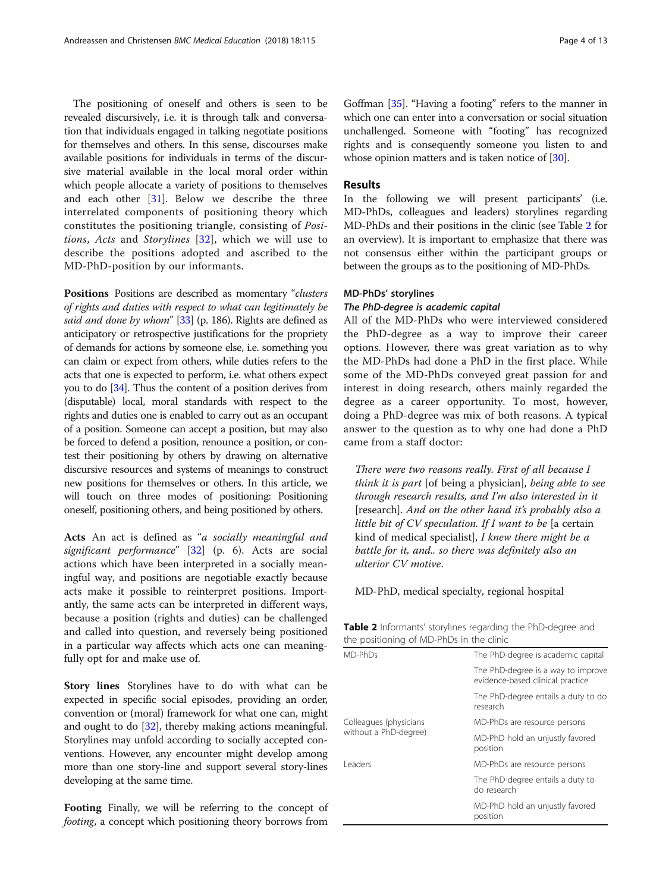The positioning of oneself and others is seen to be revealed discursively, i.e. it is through talk and conversation that individuals engaged in talking negotiate positions for themselves and others. In this sense, discourses make available positions for individuals in terms of the discursive material available in the local moral order within which people allocate a variety of positions to themselves and each other [[31](#page-11-0)]. Below we describe the three interrelated components of positioning theory which constitutes the positioning triangle, consisting of Positions, Acts and Storylines [\[32\]](#page-11-0), which we will use to describe the positions adopted and ascribed to the MD-PhD-position by our informants.

Positions Positions are described as momentary "clusters" of rights and duties with respect to what can legitimately be said and done by whom" [\[33\]](#page-12-0) (p. 186). Rights are defined as anticipatory or retrospective justifications for the propriety of demands for actions by someone else, i.e. something you can claim or expect from others, while duties refers to the acts that one is expected to perform, i.e. what others expect you to do [[34](#page-12-0)]. Thus the content of a position derives from (disputable) local, moral standards with respect to the rights and duties one is enabled to carry out as an occupant of a position. Someone can accept a position, but may also be forced to defend a position, renounce a position, or contest their positioning by others by drawing on alternative discursive resources and systems of meanings to construct new positions for themselves or others. In this article, we will touch on three modes of positioning: Positioning oneself, positioning others, and being positioned by others.

Acts An act is defined as "a socially meaningful and significant performance" [\[32\]](#page-11-0) (p. 6). Acts are social actions which have been interpreted in a socially meaningful way, and positions are negotiable exactly because acts make it possible to reinterpret positions. Importantly, the same acts can be interpreted in different ways, because a position (rights and duties) can be challenged and called into question, and reversely being positioned in a particular way affects which acts one can meaningfully opt for and make use of.

Story lines Storylines have to do with what can be expected in specific social episodes, providing an order, convention or (moral) framework for what one can, might and ought to do [\[32](#page-11-0)], thereby making actions meaningful. Storylines may unfold according to socially accepted conventions. However, any encounter might develop among more than one story-line and support several story-lines developing at the same time.

Footing Finally, we will be referring to the concept of footing, a concept which positioning theory borrows from

Goffman [[35](#page-12-0)]. "Having a footing" refers to the manner in which one can enter into a conversation or social situation unchallenged. Someone with "footing" has recognized rights and is consequently someone you listen to and whose opinion matters and is taken notice of [\[30\]](#page-11-0).

## Results

In the following we will present participants' (i.e. MD-PhDs, colleagues and leaders) storylines regarding MD-PhDs and their positions in the clinic (see Table 2 for an overview). It is important to emphasize that there was not consensus either within the participant groups or between the groups as to the positioning of MD-PhDs.

## MD-PhDs' storylines

## The PhD-degree is academic capital

All of the MD-PhDs who were interviewed considered the PhD-degree as a way to improve their career options. However, there was great variation as to why the MD-PhDs had done a PhD in the first place. While some of the MD-PhDs conveyed great passion for and interest in doing research, others mainly regarded the degree as a career opportunity. To most, however, doing a PhD-degree was mix of both reasons. A typical answer to the question as to why one had done a PhD came from a staff doctor:

There were two reasons really. First of all because I think it is part [of being a physician], being able to see through research results, and I'm also interested in it [research]. And on the other hand it's probably also a little bit of CV speculation. If I want to be [a certain kind of medical specialist], I knew there might be a battle for it, and.. so there was definitely also an ulterior CV motive.

#### MD-PhD, medical specialty, regional hospital

Table 2 Informants' storylines regarding the PhD-degree and the positioning of MD-PhDs in the clinic

| MD-PhDs                | The PhD-degree is academic capital                                     |  |  |
|------------------------|------------------------------------------------------------------------|--|--|
|                        | The PhD-degree is a way to improve<br>evidence-based clinical practice |  |  |
|                        | The PhD-degree entails a duty to do<br>research                        |  |  |
| Colleagues (physicians | MD-PhDs are resource persons                                           |  |  |
| without a PhD-degree)  | MD-PhD hold an unjustly favored<br>position                            |  |  |
| Leaders                | MD-PhDs are resource persons                                           |  |  |
|                        | The PhD-degree entails a duty to<br>do research                        |  |  |
|                        | MD-PhD hold an unjustly favored<br>position                            |  |  |
|                        |                                                                        |  |  |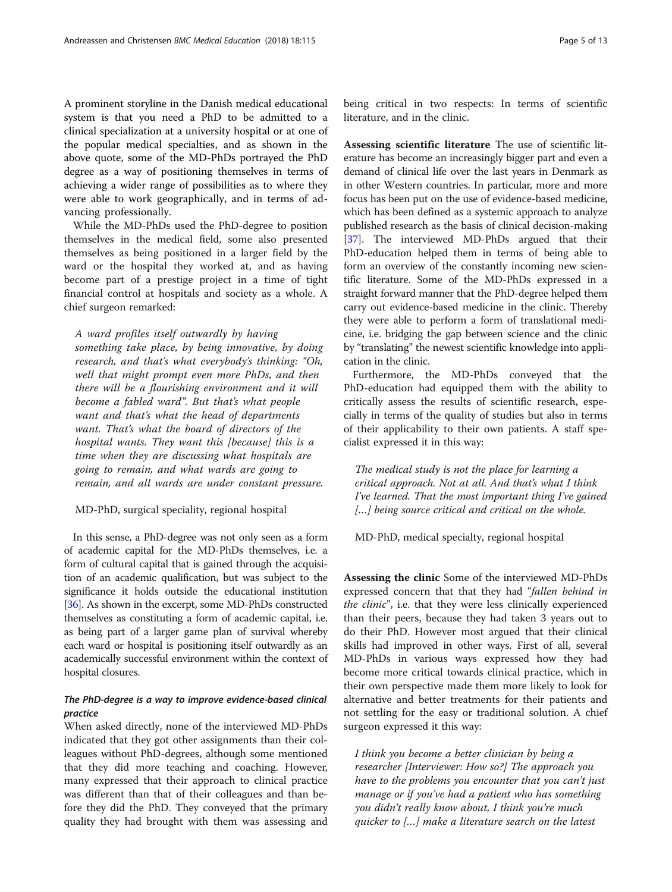A prominent storyline in the Danish medical educational system is that you need a PhD to be admitted to a clinical specialization at a university hospital or at one of the popular medical specialties, and as shown in the above quote, some of the MD-PhDs portrayed the PhD degree as a way of positioning themselves in terms of achieving a wider range of possibilities as to where they were able to work geographically, and in terms of advancing professionally.

While the MD-PhDs used the PhD-degree to position themselves in the medical field, some also presented themselves as being positioned in a larger field by the ward or the hospital they worked at, and as having become part of a prestige project in a time of tight financial control at hospitals and society as a whole. A chief surgeon remarked:

A ward profiles itself outwardly by having something take place, by being innovative, by doing research, and that's what everybody's thinking: "Oh, well that might prompt even more PhDs, and then there will be a flourishing environment and it will become a fabled ward". But that's what people want and that's what the head of departments want. That's what the board of directors of the hospital wants. They want this [because] this is a time when they are discussing what hospitals are going to remain, and what wards are going to remain, and all wards are under constant pressure.

## MD-PhD, surgical speciality, regional hospital

In this sense, a PhD-degree was not only seen as a form of academic capital for the MD-PhDs themselves, i.e. a form of cultural capital that is gained through the acquisition of an academic qualification, but was subject to the significance it holds outside the educational institution [[36](#page-12-0)]. As shown in the excerpt, some MD-PhDs constructed themselves as constituting a form of academic capital, i.e. as being part of a larger game plan of survival whereby each ward or hospital is positioning itself outwardly as an academically successful environment within the context of hospital closures.

## The PhD-degree is a way to improve evidence-based clinical practice

When asked directly, none of the interviewed MD-PhDs indicated that they got other assignments than their colleagues without PhD-degrees, although some mentioned that they did more teaching and coaching. However, many expressed that their approach to clinical practice was different than that of their colleagues and than before they did the PhD. They conveyed that the primary quality they had brought with them was assessing and being critical in two respects: In terms of scientific literature, and in the clinic.

Assessing scientific literature The use of scientific literature has become an increasingly bigger part and even a demand of clinical life over the last years in Denmark as in other Western countries. In particular, more and more focus has been put on the use of evidence-based medicine, which has been defined as a systemic approach to analyze published research as the basis of clinical decision-making [[37](#page-12-0)]. The interviewed MD-PhDs argued that their PhD-education helped them in terms of being able to form an overview of the constantly incoming new scientific literature. Some of the MD-PhDs expressed in a straight forward manner that the PhD-degree helped them carry out evidence-based medicine in the clinic. Thereby they were able to perform a form of translational medicine, i.e. bridging the gap between science and the clinic by "translating" the newest scientific knowledge into application in the clinic.

Furthermore, the MD-PhDs conveyed that the PhD-education had equipped them with the ability to critically assess the results of scientific research, especially in terms of the quality of studies but also in terms of their applicability to their own patients. A staff specialist expressed it in this way:

The medical study is not the place for learning a critical approach. Not at all. And that's what I think I've learned. That the most important thing I've gained [...] being source critical and critical on the whole.

MD-PhD, medical specialty, regional hospital

Assessing the clinic Some of the interviewed MD-PhDs expressed concern that that they had "fallen behind in the clinic", i.e. that they were less clinically experienced than their peers, because they had taken 3 years out to do their PhD. However most argued that their clinical skills had improved in other ways. First of all, several MD-PhDs in various ways expressed how they had become more critical towards clinical practice, which in their own perspective made them more likely to look for alternative and better treatments for their patients and not settling for the easy or traditional solution. A chief surgeon expressed it this way:

I think you become a better clinician by being a researcher [Interviewer: How so?] The approach you have to the problems you encounter that you can't just manage or if you've had a patient who has something you didn't really know about, I think you're much quicker to […] make a literature search on the latest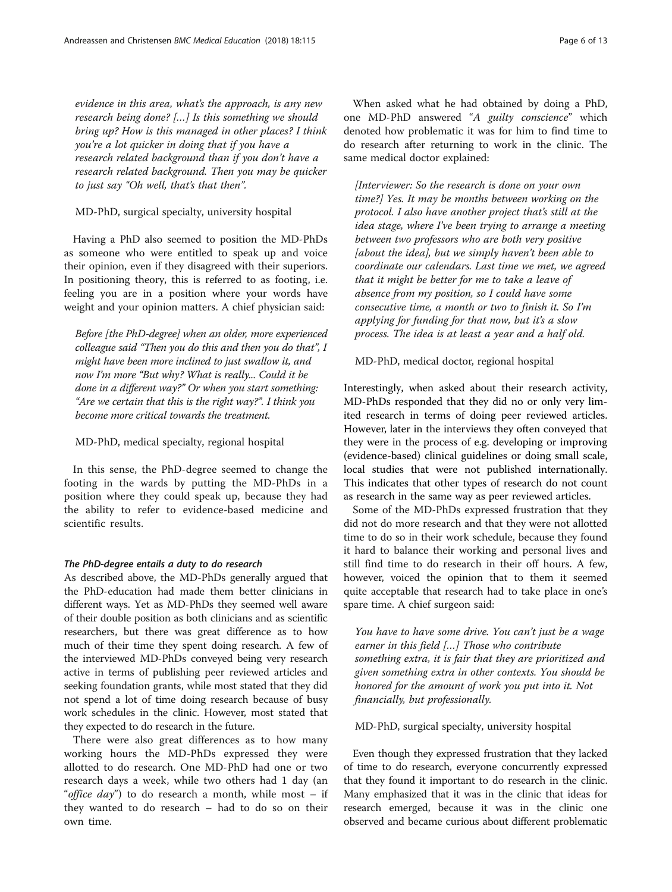evidence in this area, what's the approach, is any new research being done? […] Is this something we should bring up? How is this managed in other places? I think you're a lot quicker in doing that if you have a research related background than if you don't have a research related background. Then you may be quicker to just say "Oh well, that's that then".

#### MD-PhD, surgical specialty, university hospital

Having a PhD also seemed to position the MD-PhDs as someone who were entitled to speak up and voice their opinion, even if they disagreed with their superiors. In positioning theory, this is referred to as footing, i.e. feeling you are in a position where your words have weight and your opinion matters. A chief physician said:

Before [the PhD-degree] when an older, more experienced colleague said "Then you do this and then you do that", I might have been more inclined to just swallow it, and now I'm more "But why? What is really... Could it be done in a different way?" Or when you start something: "Are we certain that this is the right way?". I think you become more critical towards the treatment.

#### MD-PhD, medical specialty, regional hospital

In this sense, the PhD-degree seemed to change the footing in the wards by putting the MD-PhDs in a position where they could speak up, because they had the ability to refer to evidence-based medicine and scientific results.

#### The PhD-degree entails a duty to do research

As described above, the MD-PhDs generally argued that the PhD-education had made them better clinicians in different ways. Yet as MD-PhDs they seemed well aware of their double position as both clinicians and as scientific researchers, but there was great difference as to how much of their time they spent doing research. A few of the interviewed MD-PhDs conveyed being very research active in terms of publishing peer reviewed articles and seeking foundation grants, while most stated that they did not spend a lot of time doing research because of busy work schedules in the clinic. However, most stated that they expected to do research in the future.

There were also great differences as to how many working hours the MD-PhDs expressed they were allotted to do research. One MD-PhD had one or two research days a week, while two others had 1 day (an "*office day*") to do research a month, while most – if they wanted to do research – had to do so on their own time.

When asked what he had obtained by doing a PhD, one MD-PhD answered "A guilty conscience" which denoted how problematic it was for him to find time to do research after returning to work in the clinic. The same medical doctor explained:

[Interviewer: So the research is done on your own time?] Yes. It may be months between working on the protocol. I also have another project that's still at the idea stage, where I've been trying to arrange a meeting between two professors who are both very positive [about the idea], but we simply haven't been able to coordinate our calendars. Last time we met, we agreed that it might be better for me to take a leave of absence from my position, so I could have some consecutive time, a month or two to finish it. So I'm applying for funding for that now, but it's a slow process. The idea is at least a year and a half old.

#### MD-PhD, medical doctor, regional hospital

Interestingly, when asked about their research activity, MD-PhDs responded that they did no or only very limited research in terms of doing peer reviewed articles. However, later in the interviews they often conveyed that they were in the process of e.g. developing or improving (evidence-based) clinical guidelines or doing small scale, local studies that were not published internationally. This indicates that other types of research do not count as research in the same way as peer reviewed articles.

Some of the MD-PhDs expressed frustration that they did not do more research and that they were not allotted time to do so in their work schedule, because they found it hard to balance their working and personal lives and still find time to do research in their off hours. A few, however, voiced the opinion that to them it seemed quite acceptable that research had to take place in one's spare time. A chief surgeon said:

You have to have some drive. You can't just be a wage earner in this field [...] Those who contribute something extra, it is fair that they are prioritized and given something extra in other contexts. You should be honored for the amount of work you put into it. Not financially, but professionally.

MD-PhD, surgical specialty, university hospital

Even though they expressed frustration that they lacked of time to do research, everyone concurrently expressed that they found it important to do research in the clinic. Many emphasized that it was in the clinic that ideas for research emerged, because it was in the clinic one observed and became curious about different problematic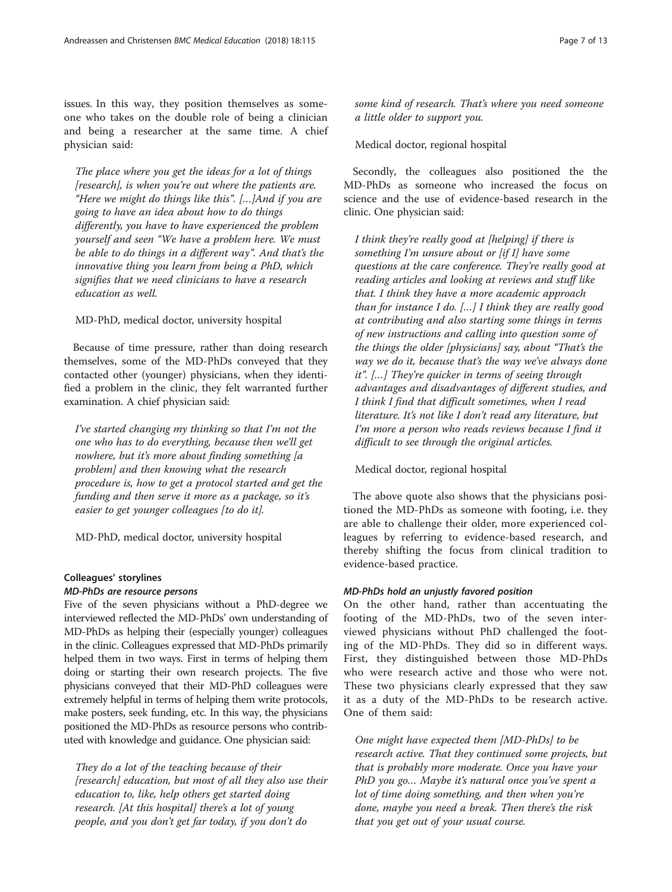issues. In this way, they position themselves as someone who takes on the double role of being a clinician and being a researcher at the same time. A chief physician said:

The place where you get the ideas for a lot of things [research], is when you're out where the patients are. "Here we might do things like this". […]And if you are going to have an idea about how to do things differently, you have to have experienced the problem yourself and seen "We have a problem here. We must be able to do things in a different way". And that's the innovative thing you learn from being a PhD, which signifies that we need clinicians to have a research education as well.

MD-PhD, medical doctor, university hospital

Because of time pressure, rather than doing research themselves, some of the MD-PhDs conveyed that they contacted other (younger) physicians, when they identified a problem in the clinic, they felt warranted further examination. A chief physician said:

I've started changing my thinking so that I'm not the one who has to do everything, because then we'll get nowhere, but it's more about finding something [a problem] and then knowing what the research procedure is, how to get a protocol started and get the funding and then serve it more as a package, so it's easier to get younger colleagues [to do it].

MD-PhD, medical doctor, university hospital

# Colleagues' storylines

#### MD-PhDs are resource persons

Five of the seven physicians without a PhD-degree we interviewed reflected the MD-PhDs' own understanding of MD-PhDs as helping their (especially younger) colleagues in the clinic. Colleagues expressed that MD-PhDs primarily helped them in two ways. First in terms of helping them doing or starting their own research projects. The five physicians conveyed that their MD-PhD colleagues were extremely helpful in terms of helping them write protocols, make posters, seek funding, etc. In this way, the physicians positioned the MD-PhDs as resource persons who contributed with knowledge and guidance. One physician said:

They do a lot of the teaching because of their [research] education, but most of all they also use their education to, like, help others get started doing research. [At this hospital] there's a lot of young people, and you don't get far today, if you don't do

some kind of research. That's where you need someone a little older to support you.

Medical doctor, regional hospital

Secondly, the colleagues also positioned the the MD-PhDs as someone who increased the focus on science and the use of evidence-based research in the clinic. One physician said:

I think they're really good at [helping] if there is something I'm unsure about or [if I] have some questions at the care conference. They're really good at reading articles and looking at reviews and stuff like that. I think they have a more academic approach than for instance I do. […] I think they are really good at contributing and also starting some things in terms of new instructions and calling into question some of the things the older [physicians] say, about "That's the way we do it, because that's the way we've always done it". […] They're quicker in terms of seeing through advantages and disadvantages of different studies, and I think I find that difficult sometimes, when I read literature. It's not like I don't read any literature, but I'm more a person who reads reviews because I find it difficult to see through the original articles.

Medical doctor, regional hospital

The above quote also shows that the physicians positioned the MD-PhDs as someone with footing, i.e. they are able to challenge their older, more experienced colleagues by referring to evidence-based research, and thereby shifting the focus from clinical tradition to evidence-based practice.

## MD-PhDs hold an unjustly favored position

On the other hand, rather than accentuating the footing of the MD-PhDs, two of the seven interviewed physicians without PhD challenged the footing of the MD-PhDs. They did so in different ways. First, they distinguished between those MD-PhDs who were research active and those who were not. These two physicians clearly expressed that they saw it as a duty of the MD-PhDs to be research active. One of them said:

One might have expected them [MD-PhDs] to be research active. That they continued some projects, but that is probably more moderate. Once you have your PhD you go… Maybe it's natural once you've spent a lot of time doing something, and then when you're done, maybe you need a break. Then there's the risk that you get out of your usual course.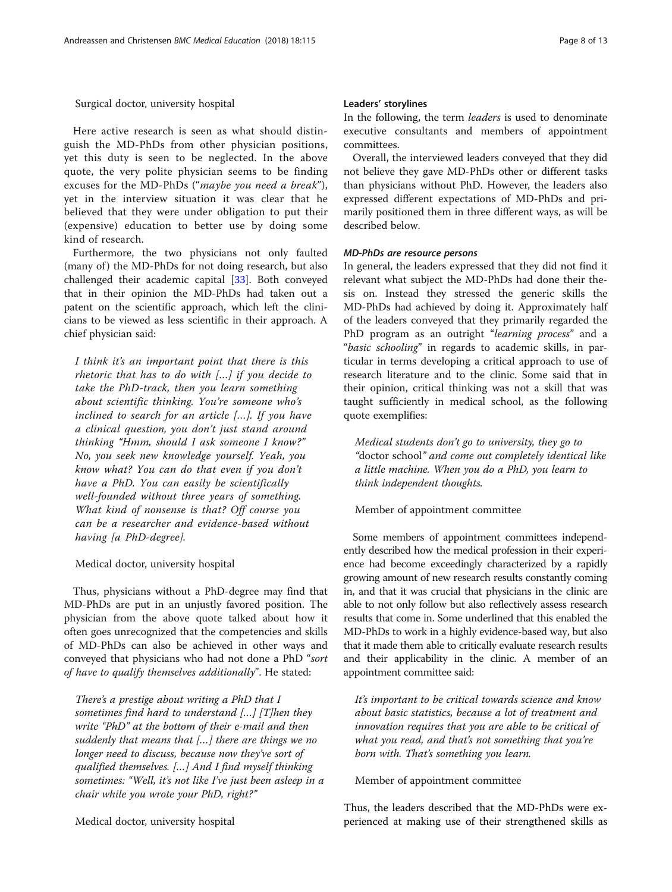## Surgical doctor, university hospital

Here active research is seen as what should distinguish the MD-PhDs from other physician positions, yet this duty is seen to be neglected. In the above quote, the very polite physician seems to be finding excuses for the MD-PhDs ("maybe you need a break"), yet in the interview situation it was clear that he believed that they were under obligation to put their (expensive) education to better use by doing some kind of research.

Furthermore, the two physicians not only faulted (many of) the MD-PhDs for not doing research, but also challenged their academic capital [[33\]](#page-12-0). Both conveyed that in their opinion the MD-PhDs had taken out a patent on the scientific approach, which left the clinicians to be viewed as less scientific in their approach. A chief physician said:

I think it's an important point that there is this rhetoric that has to do with […] if you decide to take the PhD-track, then you learn something about scientific thinking. You're someone who's inclined to search for an article […]. If you have a clinical question, you don't just stand around thinking "Hmm, should I ask someone I know?" No, you seek new knowledge yourself. Yeah, you know what? You can do that even if you don't have a PhD. You can easily be scientifically well-founded without three years of something. What kind of nonsense is that? Off course you can be a researcher and evidence-based without having [a PhD-degree].

## Medical doctor, university hospital

Thus, physicians without a PhD-degree may find that MD-PhDs are put in an unjustly favored position. The physician from the above quote talked about how it often goes unrecognized that the competencies and skills of MD-PhDs can also be achieved in other ways and conveyed that physicians who had not done a PhD "sort of have to qualify themselves additionally". He stated:

There's a prestige about writing a PhD that I sometimes find hard to understand  $\left[\ldots\right]$  [T]hen they write "PhD" at the bottom of their e-mail and then suddenly that means that […] there are things we no longer need to discuss, because now they've sort of qualified themselves. […] And I find myself thinking sometimes: "Well, it's not like I've just been asleep in a chair while you wrote your PhD, right?"

## Leaders' storylines

In the following, the term leaders is used to denominate executive consultants and members of appointment committees.

Overall, the interviewed leaders conveyed that they did not believe they gave MD-PhDs other or different tasks than physicians without PhD. However, the leaders also expressed different expectations of MD-PhDs and primarily positioned them in three different ways, as will be described below.

#### MD-PhDs are resource persons

In general, the leaders expressed that they did not find it relevant what subject the MD-PhDs had done their thesis on. Instead they stressed the generic skills the MD-PhDs had achieved by doing it. Approximately half of the leaders conveyed that they primarily regarded the PhD program as an outright "learning process" and a "basic schooling" in regards to academic skills, in particular in terms developing a critical approach to use of research literature and to the clinic. Some said that in their opinion, critical thinking was not a skill that was taught sufficiently in medical school, as the following quote exemplifies:

Medical students don't go to university, they go to "doctor school" and come out completely identical like a little machine. When you do a PhD, you learn to think independent thoughts.

## Member of appointment committee

Some members of appointment committees independently described how the medical profession in their experience had become exceedingly characterized by a rapidly growing amount of new research results constantly coming in, and that it was crucial that physicians in the clinic are able to not only follow but also reflectively assess research results that come in. Some underlined that this enabled the MD-PhDs to work in a highly evidence-based way, but also that it made them able to critically evaluate research results and their applicability in the clinic. A member of an appointment committee said:

It's important to be critical towards science and know about basic statistics, because a lot of treatment and innovation requires that you are able to be critical of what you read, and that's not something that you're born with. That's something you learn.

Member of appointment committee

Thus, the leaders described that the MD-PhDs were experienced at making use of their strengthened skills as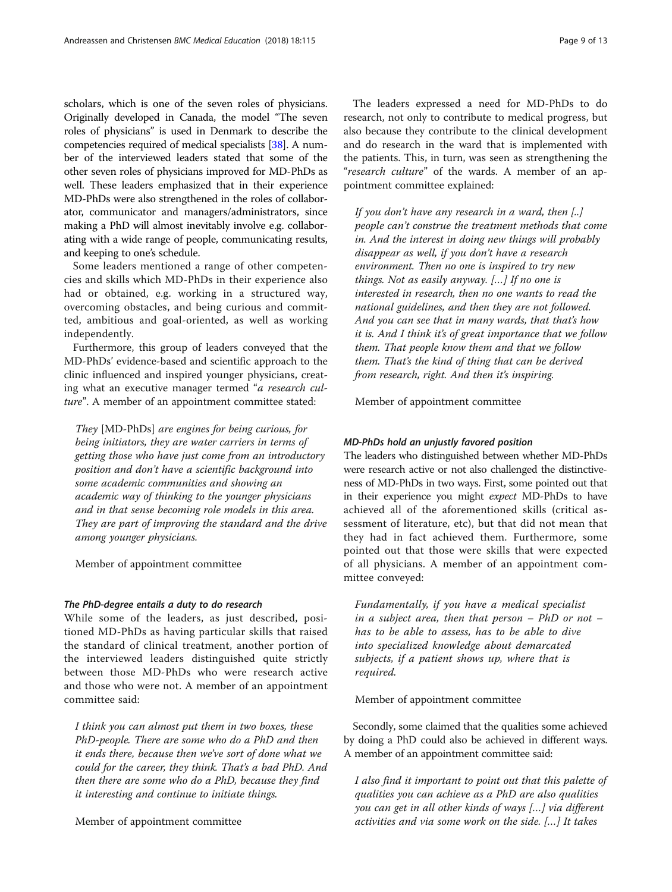scholars, which is one of the seven roles of physicians. Originally developed in Canada, the model "The seven roles of physicians" is used in Denmark to describe the competencies required of medical specialists [[38\]](#page-12-0). A number of the interviewed leaders stated that some of the other seven roles of physicians improved for MD-PhDs as well. These leaders emphasized that in their experience MD-PhDs were also strengthened in the roles of collaborator, communicator and managers/administrators, since making a PhD will almost inevitably involve e.g. collaborating with a wide range of people, communicating results, and keeping to one's schedule.

Some leaders mentioned a range of other competencies and skills which MD-PhDs in their experience also had or obtained, e.g. working in a structured way, overcoming obstacles, and being curious and committed, ambitious and goal-oriented, as well as working independently.

Furthermore, this group of leaders conveyed that the MD-PhDs' evidence-based and scientific approach to the clinic influenced and inspired younger physicians, creating what an executive manager termed "a research culture". A member of an appointment committee stated:

They [MD-PhDs] are engines for being curious, for being initiators, they are water carriers in terms of getting those who have just come from an introductory position and don't have a scientific background into some academic communities and showing an academic way of thinking to the younger physicians and in that sense becoming role models in this area. They are part of improving the standard and the drive among younger physicians.

Member of appointment committee

## The PhD-degree entails a duty to do research

While some of the leaders, as just described, positioned MD-PhDs as having particular skills that raised the standard of clinical treatment, another portion of the interviewed leaders distinguished quite strictly between those MD-PhDs who were research active and those who were not. A member of an appointment committee said:

I think you can almost put them in two boxes, these PhD-people. There are some who do a PhD and then it ends there, because then we've sort of done what we could for the career, they think. That's a bad PhD. And then there are some who do a PhD, because they find it interesting and continue to initiate things.

Member of appointment committee

The leaders expressed a need for MD-PhDs to do research, not only to contribute to medical progress, but also because they contribute to the clinical development and do research in the ward that is implemented with the patients. This, in turn, was seen as strengthening the "research culture" of the wards. A member of an appointment committee explained:

If you don't have any research in a ward, then  $[...]$ people can't construe the treatment methods that come in. And the interest in doing new things will probably disappear as well, if you don't have a research environment. Then no one is inspired to try new things. Not as easily anyway.  $[...]$  If no one is interested in research, then no one wants to read the national guidelines, and then they are not followed. And you can see that in many wards, that that's how it is. And I think it's of great importance that we follow them. That people know them and that we follow them. That's the kind of thing that can be derived from research, right. And then it's inspiring.

Member of appointment committee

#### MD-PhDs hold an unjustly favored position

The leaders who distinguished between whether MD-PhDs were research active or not also challenged the distinctiveness of MD-PhDs in two ways. First, some pointed out that in their experience you might expect MD-PhDs to have achieved all of the aforementioned skills (critical assessment of literature, etc), but that did not mean that they had in fact achieved them. Furthermore, some pointed out that those were skills that were expected of all physicians. A member of an appointment committee conveyed:

Fundamentally, if you have a medical specialist in a subject area, then that person  $-$  PhD or not  $$ has to be able to assess, has to be able to dive into specialized knowledge about demarcated subjects, if a patient shows up, where that is required.

## Member of appointment committee

Secondly, some claimed that the qualities some achieved by doing a PhD could also be achieved in different ways. A member of an appointment committee said:

I also find it important to point out that this palette of qualities you can achieve as a PhD are also qualities you can get in all other kinds of ways […] via different activities and via some work on the side. […] It takes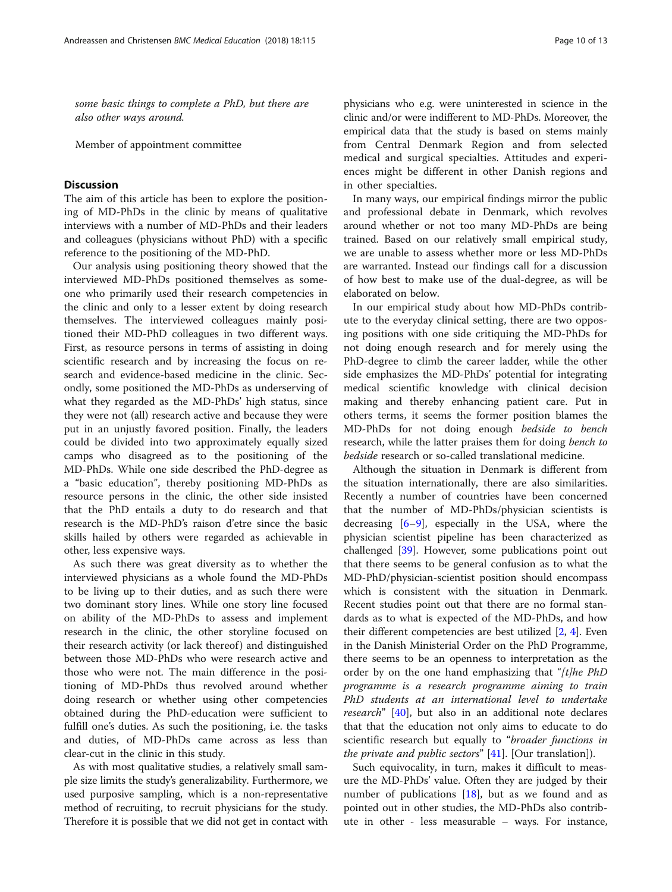some basic things to complete a PhD, but there are also other ways around.

Member of appointment committee

## **Discussion**

The aim of this article has been to explore the positioning of MD-PhDs in the clinic by means of qualitative interviews with a number of MD-PhDs and their leaders and colleagues (physicians without PhD) with a specific reference to the positioning of the MD-PhD.

Our analysis using positioning theory showed that the interviewed MD-PhDs positioned themselves as someone who primarily used their research competencies in the clinic and only to a lesser extent by doing research themselves. The interviewed colleagues mainly positioned their MD-PhD colleagues in two different ways. First, as resource persons in terms of assisting in doing scientific research and by increasing the focus on research and evidence-based medicine in the clinic. Secondly, some positioned the MD-PhDs as underserving of what they regarded as the MD-PhDs' high status, since they were not (all) research active and because they were put in an unjustly favored position. Finally, the leaders could be divided into two approximately equally sized camps who disagreed as to the positioning of the MD-PhDs. While one side described the PhD-degree as a "basic education", thereby positioning MD-PhDs as resource persons in the clinic, the other side insisted that the PhD entails a duty to do research and that research is the MD-PhD's raison d'etre since the basic skills hailed by others were regarded as achievable in other, less expensive ways.

As such there was great diversity as to whether the interviewed physicians as a whole found the MD-PhDs to be living up to their duties, and as such there were two dominant story lines. While one story line focused on ability of the MD-PhDs to assess and implement research in the clinic, the other storyline focused on their research activity (or lack thereof) and distinguished between those MD-PhDs who were research active and those who were not. The main difference in the positioning of MD-PhDs thus revolved around whether doing research or whether using other competencies obtained during the PhD-education were sufficient to fulfill one's duties. As such the positioning, i.e. the tasks and duties, of MD-PhDs came across as less than clear-cut in the clinic in this study.

As with most qualitative studies, a relatively small sample size limits the study's generalizability. Furthermore, we used purposive sampling, which is a non-representative method of recruiting, to recruit physicians for the study. Therefore it is possible that we did not get in contact with

physicians who e.g. were uninterested in science in the clinic and/or were indifferent to MD-PhDs. Moreover, the empirical data that the study is based on stems mainly from Central Denmark Region and from selected medical and surgical specialties. Attitudes and experiences might be different in other Danish regions and in other specialties.

In many ways, our empirical findings mirror the public and professional debate in Denmark, which revolves around whether or not too many MD-PhDs are being trained. Based on our relatively small empirical study, we are unable to assess whether more or less MD-PhDs are warranted. Instead our findings call for a discussion of how best to make use of the dual-degree, as will be elaborated on below.

In our empirical study about how MD-PhDs contribute to the everyday clinical setting, there are two opposing positions with one side critiquing the MD-PhDs for not doing enough research and for merely using the PhD-degree to climb the career ladder, while the other side emphasizes the MD-PhDs' potential for integrating medical scientific knowledge with clinical decision making and thereby enhancing patient care. Put in others terms, it seems the former position blames the MD-PhDs for not doing enough bedside to bench research, while the latter praises them for doing bench to bedside research or so-called translational medicine.

Although the situation in Denmark is different from the situation internationally, there are also similarities. Recently a number of countries have been concerned that the number of MD-PhDs/physician scientists is decreasing  $[6-9]$  $[6-9]$  $[6-9]$  $[6-9]$ , especially in the USA, where the physician scientist pipeline has been characterized as challenged [[39\]](#page-12-0). However, some publications point out that there seems to be general confusion as to what the MD-PhD/physician-scientist position should encompass which is consistent with the situation in Denmark. Recent studies point out that there are no formal standards as to what is expected of the MD-PhDs, and how their different competencies are best utilized [\[2](#page-11-0), [4](#page-11-0)]. Even in the Danish Ministerial Order on the PhD Programme, there seems to be an openness to interpretation as the order by on the one hand emphasizing that " $[t]$ he PhD programme is a research programme aiming to train PhD students at an international level to undertake research" [\[40\]](#page-12-0), but also in an additional note declares that that the education not only aims to educate to do scientific research but equally to "broader functions in the private and public sectors"  $[41]$  $[41]$ . [Our translation]).

Such equivocality, in turn, makes it difficult to measure the MD-PhDs' value. Often they are judged by their number of publications  $[18]$  $[18]$ , but as we found and as pointed out in other studies, the MD-PhDs also contribute in other - less measurable – ways. For instance,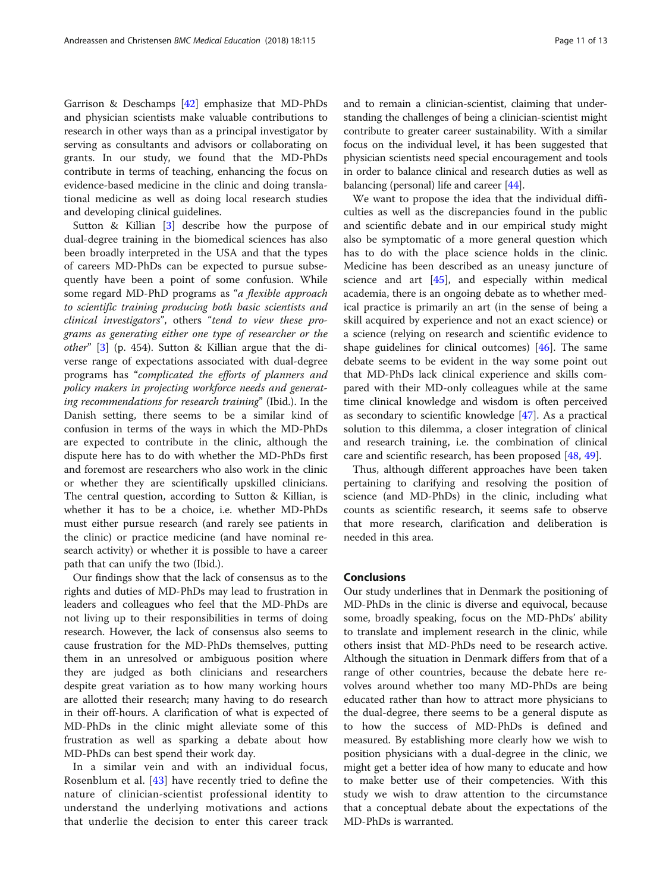Garrison & Deschamps [\[42](#page-12-0)] emphasize that MD-PhDs and physician scientists make valuable contributions to research in other ways than as a principal investigator by serving as consultants and advisors or collaborating on grants. In our study, we found that the MD-PhDs contribute in terms of teaching, enhancing the focus on evidence-based medicine in the clinic and doing translational medicine as well as doing local research studies and developing clinical guidelines.

Sutton & Killian [\[3](#page-11-0)] describe how the purpose of dual-degree training in the biomedical sciences has also been broadly interpreted in the USA and that the types of careers MD-PhDs can be expected to pursue subsequently have been a point of some confusion. While some regard MD-PhD programs as "a flexible approach to scientific training producing both basic scientists and clinical investigators", others "tend to view these programs as generating either one type of researcher or the other" [[3](#page-11-0)] (p. 454). Sutton & Killian argue that the diverse range of expectations associated with dual-degree programs has "complicated the efforts of planners and policy makers in projecting workforce needs and generating recommendations for research training" (Ibid.). In the Danish setting, there seems to be a similar kind of confusion in terms of the ways in which the MD-PhDs are expected to contribute in the clinic, although the dispute here has to do with whether the MD-PhDs first and foremost are researchers who also work in the clinic or whether they are scientifically upskilled clinicians. The central question, according to Sutton & Killian, is whether it has to be a choice, i.e. whether MD-PhDs must either pursue research (and rarely see patients in the clinic) or practice medicine (and have nominal research activity) or whether it is possible to have a career path that can unify the two (Ibid.).

Our findings show that the lack of consensus as to the rights and duties of MD-PhDs may lead to frustration in leaders and colleagues who feel that the MD-PhDs are not living up to their responsibilities in terms of doing research. However, the lack of consensus also seems to cause frustration for the MD-PhDs themselves, putting them in an unresolved or ambiguous position where they are judged as both clinicians and researchers despite great variation as to how many working hours are allotted their research; many having to do research in their off-hours. A clarification of what is expected of MD-PhDs in the clinic might alleviate some of this frustration as well as sparking a debate about how MD-PhDs can best spend their work day.

In a similar vein and with an individual focus, Rosenblum et al. [\[43\]](#page-12-0) have recently tried to define the nature of clinician-scientist professional identity to understand the underlying motivations and actions that underlie the decision to enter this career track and to remain a clinician-scientist, claiming that understanding the challenges of being a clinician-scientist might contribute to greater career sustainability. With a similar focus on the individual level, it has been suggested that physician scientists need special encouragement and tools in order to balance clinical and research duties as well as balancing (personal) life and career [\[44](#page-12-0)].

We want to propose the idea that the individual difficulties as well as the discrepancies found in the public and scientific debate and in our empirical study might also be symptomatic of a more general question which has to do with the place science holds in the clinic. Medicine has been described as an uneasy juncture of science and art [\[45](#page-12-0)], and especially within medical academia, there is an ongoing debate as to whether medical practice is primarily an art (in the sense of being a skill acquired by experience and not an exact science) or a science (relying on research and scientific evidence to shape guidelines for clinical outcomes) [[46](#page-12-0)]. The same debate seems to be evident in the way some point out that MD-PhDs lack clinical experience and skills compared with their MD-only colleagues while at the same time clinical knowledge and wisdom is often perceived as secondary to scientific knowledge [[47\]](#page-12-0). As a practical solution to this dilemma, a closer integration of clinical and research training, i.e. the combination of clinical care and scientific research, has been proposed [\[48](#page-12-0), [49](#page-12-0)].

Thus, although different approaches have been taken pertaining to clarifying and resolving the position of science (and MD-PhDs) in the clinic, including what counts as scientific research, it seems safe to observe that more research, clarification and deliberation is needed in this area.

## Conclusions

Our study underlines that in Denmark the positioning of MD-PhDs in the clinic is diverse and equivocal, because some, broadly speaking, focus on the MD-PhDs' ability to translate and implement research in the clinic, while others insist that MD-PhDs need to be research active. Although the situation in Denmark differs from that of a range of other countries, because the debate here revolves around whether too many MD-PhDs are being educated rather than how to attract more physicians to the dual-degree, there seems to be a general dispute as to how the success of MD-PhDs is defined and measured. By establishing more clearly how we wish to position physicians with a dual-degree in the clinic, we might get a better idea of how many to educate and how to make better use of their competencies. With this study we wish to draw attention to the circumstance that a conceptual debate about the expectations of the MD-PhDs is warranted.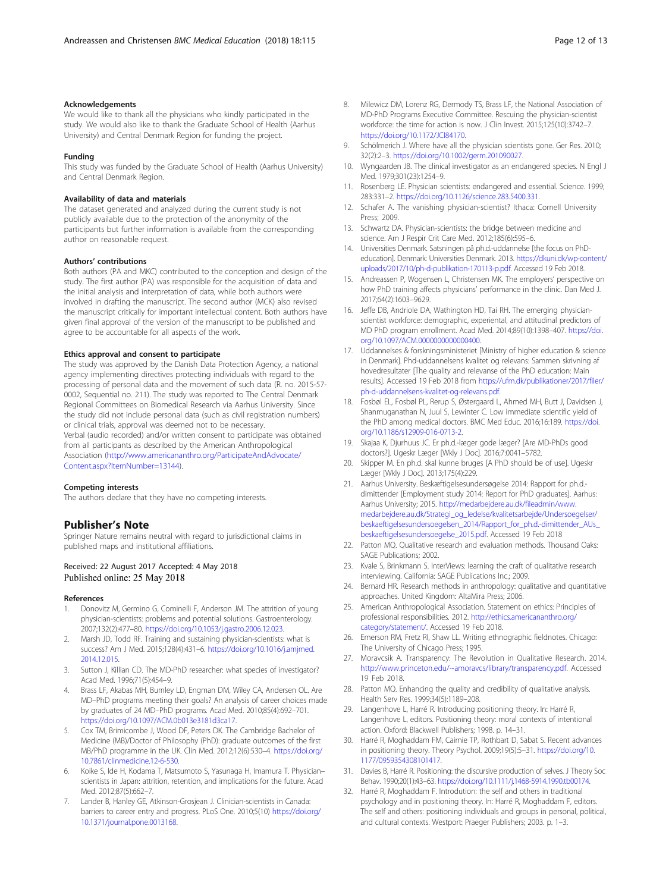#### <span id="page-11-0"></span>Acknowledgements

We would like to thank all the physicians who kindly participated in the study. We would also like to thank the Graduate School of Health (Aarhus University) and Central Denmark Region for funding the project.

#### Funding

This study was funded by the Graduate School of Health (Aarhus University) and Central Denmark Region.

#### Availability of data and materials

The dataset generated and analyzed during the current study is not publicly available due to the protection of the anonymity of the participants but further information is available from the corresponding author on reasonable request.

#### Authors' contributions

Both authors (PA and MKC) contributed to the conception and design of the study. The first author (PA) was responsible for the acquisition of data and the initial analysis and interpretation of data, while both authors were involved in drafting the manuscript. The second author (MCK) also revised the manuscript critically for important intellectual content. Both authors have given final approval of the version of the manuscript to be published and agree to be accountable for all aspects of the work.

#### Ethics approval and consent to participate

The study was approved by the Danish Data Protection Agency, a national agency implementing directives protecting individuals with regard to the processing of personal data and the movement of such data (R. no. 2015-57- 0002, Sequential no. 211). The study was reported to The Central Denmark Regional Committees on Biomedical Research via Aarhus University. Since the study did not include personal data (such as civil registration numbers) or clinical trials, approval was deemed not to be necessary. Verbal (audio recorded) and/or written consent to participate was obtained from all participants as described by the American Anthropological Association ([http://www.americananthro.org/ParticipateAndAdvocate/](http://www.americananthro.org/ParticipateAndAdvocate/Content.aspx?ItemNumber=13144) [Content.aspx?ItemNumber=13144](http://www.americananthro.org/ParticipateAndAdvocate/Content.aspx?ItemNumber=13144)).

#### Competing interests

The authors declare that they have no competing interests.

#### Publisher's Note

Springer Nature remains neutral with regard to jurisdictional claims in published maps and institutional affiliations.

#### Received: 22 August 2017 Accepted: 4 May 2018 Published online: 25 May 2018

#### References

- 1. Donovitz M, Germino G, Cominelli F, Anderson JM. The attrition of young physician-scientists: problems and potential solutions. Gastroenterology. 2007;132(2):477–80. [https://doi.org/10.1053/j.gastro.2006.12.023.](https://doi.org/10.1053/j.gastro.2006.12.023)
- 2. Marsh JD, Todd RF. Training and sustaining physician-scientists: what is success? Am J Med. 2015;128(4):431–6. [https://doi.org/10.1016/j.amjmed.](https://doi.org/10.1016/j.amjmed.2014.12.015) [2014.12.015.](https://doi.org/10.1016/j.amjmed.2014.12.015)
- Sutton J, Killian CD. The MD-PhD researcher: what species of investigator? Acad Med. 1996;71(5):454–9.
- 4. Brass LF, Akabas MH, Burnley LD, Engman DM, Wiley CA, Andersen OL. Are MD–PhD programs meeting their goals? An analysis of career choices made by graduates of 24 MD–PhD programs. Acad Med. 2010;85(4):692–701. [https://doi.org/10.1097/ACM.0b013e3181d3ca17.](https://doi.org/10.1097/ACM.0b013e3181d3ca17)
- 5. Cox TM, Brimicombe J, Wood DF, Peters DK. The Cambridge Bachelor of Medicine (MB)/Doctor of Philosophy (PhD): graduate outcomes of the first MB/PhD programme in the UK. Clin Med. 2012;12(6):530–4. [https://doi.org/](https://doi.org/10.7861/clinmedicine.12-6-530) [10.7861/clinmedicine.12-6-530.](https://doi.org/10.7861/clinmedicine.12-6-530)
- 6. Koike S, Ide H, Kodama T, Matsumoto S, Yasunaga H, Imamura T. Physician– scientists in Japan: attrition, retention, and implications for the future. Acad Med. 2012;87(5):662–7.
- Lander B, Hanley GE, Atkinson-Grosjean J. Clinician-scientists in Canada: barriers to career entry and progress. PLoS One. 2010;5(10) [https://doi.org/](https://doi.org/10.1371/journal.pone.0013168) [10.1371/journal.pone.0013168](https://doi.org/10.1371/journal.pone.0013168).
- 8. Milewicz DM, Lorenz RG, Dermody TS, Brass LF, the National Association of MD-PhD Programs Executive Committee. Rescuing the physician-scientist workforce: the time for action is now. J Clin Invest. 2015;125(10):3742–7. [https://doi.org/10.1172/JCI84170.](https://doi.org/10.1172/JCI84170)
- 9. Schölmerich J. Where have all the physician scientists gone. Ger Res. 2010; 32(2):2–3. [https://doi.org/10.1002/germ.201090027.](https://doi.org/10.1002/germ.201090027)
- 10. Wyngaarden JB. The clinical investigator as an endangered species. N Engl J Med. 1979;301(23):1254–9.
- 11. Rosenberg LE. Physician scientists: endangered and essential. Science. 1999; 283:331–2. [https://doi.org/10.1126/science.283.5400.331.](https://doi.org/10.1126/science.283.5400.331)
- 12. Schafer A. The vanishing physician-scientist? Ithaca: Cornell University Press; 2009.
- 13. Schwartz DA. Physician-scientists: the bridge between medicine and science. Am J Respir Crit Care Med. 2012;185(6):595–6.
- 14. Universities Denmark. Satsningen på ph.d.-uddannelse [the focus on PhDeducation]. Denmark: Universities Denmark. 2013. [https://dkuni.dk/wp-content/](https://dkuni.dk/wp-content/uploads/2017/10/ph-d-publikation-170113-p.pdf) [uploads/2017/10/ph-d-publikation-170113-p.pdf.](https://dkuni.dk/wp-content/uploads/2017/10/ph-d-publikation-170113-p.pdf) Accessed 19 Feb 2018.
- 15. Andreassen P, Wogensen L, Christensen MK. The employers' perspective on how PhD training affects physicians' performance in the clinic. Dan Med J. 2017;64(2):1603–9629.
- 16. Jeffe DB, Andriole DA, Wathington HD, Tai RH. The emerging physicianscientist workforce: demographic, experiental, and attitudinal predictors of MD PhD program enrollment. Acad Med. 2014;89(10):1398–407. [https://doi.](https://doi.org/10.1097/ACM.0000000000000400) [org/10.1097/ACM.0000000000000400](https://doi.org/10.1097/ACM.0000000000000400).
- 17. Uddannelses & forskningsministeriet [Ministry of higher education & science in Denmark]. Phd-uddannelsens kvalitet og relevans: Sammen skrivning af hovedresultater [The quality and relevanse of the PhD education: Main results]. Accessed 19 Feb 2018 from [https://ufm.dk/publikationer/2017/filer/](https://ufm.dk/publikationer/2017/filer/ph-d-uddannelsens-kvalitet-og-relevans.pdf) [ph-d-uddannelsens-kvalitet-og-relevans.pdf.](https://ufm.dk/publikationer/2017/filer/ph-d-uddannelsens-kvalitet-og-relevans.pdf)
- 18. Fosbøl EL, Fosbøl PL, Rerup S, Østergaard L, Ahmed MH, Butt J, Davidsen J, Shanmuganathan N, Juul S, Lewinter C. Low immediate scientific yield of the PhD among medical doctors. BMC Med Educ. 2016;16:189. [https://doi.](https://doi.org/10.1186/s12909-016-0713-2) [org/10.1186/s12909-016-0713-2](https://doi.org/10.1186/s12909-016-0713-2).
- 19. Skajaa K, Djurhuus JC. Er ph.d.-læger gode læger? [Are MD-PhDs good doctors?]. Ugeskr Læger [Wkly J Doc]. 2016;7:0041–5782.
- 20. Skipper M. En ph.d. skal kunne bruges [A PhD should be of use]. Ugeskr Læger [Wkly J Doc]. 2013;175(4):229.
- 21. Aarhus University. Beskæftigelsesundersøgelse 2014: Rapport for ph.d. dimittender [Employment study 2014: Report for PhD graduates]. Aarhus: Aarhus University; 2015. [http://medarbejdere.au.dk/fileadmin/www.](http://medarbejdere.au.dk/fileadmin/www.medarbejdere.au.dk/Strategi_og_ledelse/kvalitetsarbejde/Undersoegelser/beskaeftigelsesundersoegelsen_2014/Rapport_for_ph.d.-dimittender_AUs_beskaeftigelsesundersoegelse_2015.pdf) [medarbejdere.au.dk/Strategi\\_og\\_ledelse/kvalitetsarbejde/Undersoegelser/](http://medarbejdere.au.dk/fileadmin/www.medarbejdere.au.dk/Strategi_og_ledelse/kvalitetsarbejde/Undersoegelser/beskaeftigelsesundersoegelsen_2014/Rapport_for_ph.d.-dimittender_AUs_beskaeftigelsesundersoegelse_2015.pdf) [beskaeftigelsesundersoegelsen\\_2014/Rapport\\_for\\_ph.d.-dimittender\\_AUs\\_](http://medarbejdere.au.dk/fileadmin/www.medarbejdere.au.dk/Strategi_og_ledelse/kvalitetsarbejde/Undersoegelser/beskaeftigelsesundersoegelsen_2014/Rapport_for_ph.d.-dimittender_AUs_beskaeftigelsesundersoegelse_2015.pdf) [beskaeftigelsesundersoegelse\\_2015.pdf](http://medarbejdere.au.dk/fileadmin/www.medarbejdere.au.dk/Strategi_og_ledelse/kvalitetsarbejde/Undersoegelser/beskaeftigelsesundersoegelsen_2014/Rapport_for_ph.d.-dimittender_AUs_beskaeftigelsesundersoegelse_2015.pdf). Accessed 19 Feb 2018
- 22. Patton MQ. Qualitative research and evaluation methods. Thousand Oaks: SAGE Publications; 2002.
- 23. Kvale S, Brinkmann S. InterViews: learning the craft of qualitative research interviewing. California: SAGE Publications Inc.; 2009.
- 24. Bernard HR. Research methods in anthropology: qualitative and quantitative approaches. United Kingdom: AltaMira Press; 2006.
- 25. American Anthropological Association. Statement on ethics: Principles of professional responsibilities. 2012. [http://ethics.americananthro.org/](http://ethics.americananthro.org/category/statement/) [category/statement/.](http://ethics.americananthro.org/category/statement/) Accessed 19 Feb 2018.
- 26. Emerson RM, Fretz RI, Shaw LL. Writing ethnographic fieldnotes. Chicago: The University of Chicago Press; 1995.
- 27. Moravcsik A. Transparency: The Revolution in Qualitative Research. 2014. <http://www.princeton.edu/~amoravcs/library/transparency.pdf>. Accessed 19 Feb 2018.
- 28. Patton MQ. Enhancing the quality and credibility of qualitative analysis. Health Serv Res. 1999;34(5):1189–208.
- 29. Langenhove L, Harré R. Introducing positioning theory. In: Harré R, Langenhove L, editors. Positioning theory: moral contexts of intentional action. Oxford: Blackwell Publishers; 1998. p. 14–31.
- 30. Harré R, Moghaddam FM, Cairnie TP, Rothbart D, Sabat S. Recent advances in positioning theory. Theory Psychol. 2009;19(5):5–31. [https://doi.org/10.](https://doi.org/10.1177/0959354308101417) [1177/0959354308101417](https://doi.org/10.1177/0959354308101417).
- 31. Davies B, Harré R. Positioning: the discursive production of selves. J Theory Soc Behav. 1990;20(1):43–63. <https://doi.org/10.1111/j.1468-5914.1990.tb00174>.
- 32. Harré R, Moghaddam F. Introdution: the self and others in traditional psychology and in positioning theory. In: Harré R, Moghaddam F, editors. The self and others: positioning individuals and groups in personal, political, and cultural contexts. Westport: Praeger Publishers; 2003. p. 1–3.